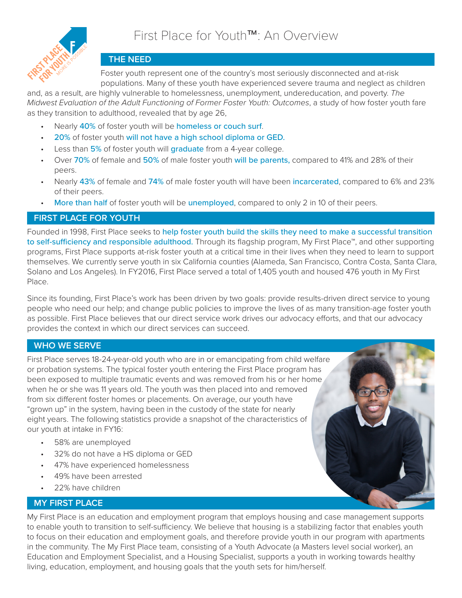

## **THE NEED**

Foster youth represent one of the country's most seriously disconnected and at-risk populations. Many of these youth have experienced severe trauma and neglect as children

and, as a result, are highly vulnerable to homelessness, unemployment, undereducation, and poverty. *The Midwest Evaluation of the Adult Functioning of Former Foster Youth: Outcomes*, a study of how foster youth fare as they transition to adulthood, revealed that by age 26,

- Nearly 40% of foster youth will be homeless or couch surf.
- 20% of foster youth will not have a high school diploma or GED.
- Less than 5% of foster youth will graduate from a 4-year college.
- Over 70% of female and 50% of male foster youth will be parents, compared to 41% and 28% of their peers.
- Nearly 43% of female and 74% of male foster youth will have been incarcerated, compared to 6% and 23% of their peers.
- More than half of foster youth will be unemployed, compared to only 2 in 10 of their peers.

### **FIRST PLACE FOR YOUTH**

Founded in 1998, First Place seeks to help foster youth build the skills they need to make a successful transition to self-sufficiency and responsible adulthood. Through its flagship program, My First Place™, and other supporting programs, First Place supports at-risk foster youth at a critical time in their lives when they need to learn to support themselves. We currently serve youth in six California counties (Alameda, San Francisco, Contra Costa, Santa Clara, Solano and Los Angeles). In FY2016, First Place served a total of 1,405 youth and housed 476 youth in My First Place.

Since its founding, First Place's work has been driven by two goals: provide results-driven direct service to young people who need our help; and change public policies to improve the lives of as many transition-age foster youth as possible. First Place believes that our direct service work drives our advocacy efforts, and that our advocacy provides the context in which our direct services can succeed.

### **WHO WE SERVE**

First Place serves 18-24-year-old youth who are in or emancipating from child welfare or probation systems. The typical foster youth entering the First Place program has been exposed to multiple traumatic events and was removed from his or her home when he or she was 11 years old. The youth was then placed into and removed from six different foster homes or placements. On average, our youth have "grown up" in the system, having been in the custody of the state for nearly eight years. The following statistics provide a snapshot of the characteristics of our youth at intake in FY16:

- 58% are unemployed
- 32% do not have a HS diploma or GED
- 47% have experienced homelessness
- 49% have been arrested
- 22% have children

### **MY FIRST PLACE**

My First Place is an education and employment program that employs housing and case management supports to enable youth to transition to self-sufficiency. We believe that housing is a stabilizing factor that enables youth to focus on their education and employment goals, and therefore provide youth in our program with apartments in the community. The My First Place team, consisting of a Youth Advocate (a Masters level social worker), an Education and Employment Specialist, and a Housing Specialist, supports a youth in working towards healthy living, education, employment, and housing goals that the youth sets for him/herself.